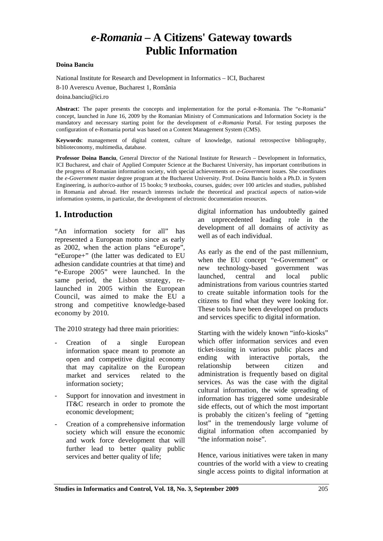# *e-Romania* **– A Citizens' Gateway towards Public Information**

#### **Doina Banciu**

National Institute for Research and Development in Informatics – ICI, Bucharest

8-10 Averescu Avenue, Bucharest 1, România

doina.banciu@ici.ro

**Abstract**: The paper presents the concepts and implementation for the portal e-Romania. The "e-Romania" concept, launched in June 16, 2009 by the Romanian Ministry of Communications and Information Society is the mandatory and necessary starting point for the development of *e-Romania* Portal. For testing purposes the configuration of e-Romania portal was based on a Content Management System (CMS).

**Keywords**: management of digital content, culture of knowledge, national retrospective bibliography, biblioteconomy, multimedia, database.

in Romania and abroad. Her research interests include the theoretical and practical aspects of nation-wide<br>information systems in particular, the development of electronic decumentation researches met documentation resources. **Professor Doina Banciu**, General Director of the National Institute for Research – Development in Informatics, ICI Bucharest, and chair of Applied Computer Science at the Bucharest University, has important contributions in the progress of Romanian information society, with special achievements on *e-Government* issues. She coordinates the *e-Government* master degree program at the Bucharest University. Prof. Doina Banciu holds a Ph.D. in System Engineering, is author/co-author of 15 books; 9 textbooks, courses, guides; over 100 articles and studies, published information systems, in particular, the development of electronic documentation resources.

#### **1. Introduction**

"An information society for all" has represented a European motto since as early as 2002, when the action plans "eEurope", "eEurope+" (the latter was dedicated to EU adhesion candidate countries at that time) and "e-Europe 2005" were launched. In the same period, the Lisbon strategy, relaunched in 2005 within the European Council, was aimed to make the EU a strong and competitive knowledge-based economy by 2010.

The 2010 strategy had three main priorities:

- Creation of a single European information space meant to promote an open and competitive digital economy that may capitalize on the European market and services related to the information society;
- Support for innovation and investment in IT&C research in order to promote the economic development;
- Creation of a comprehensive information society which will ensure the economic and work force development that will further lead to better quality public services and better quality of life;

digital information has undoubtedly gained an unprecedented leading role in the development of all domains of activity as well as of each individual.

As early as the end of the past millennium, when the EU concept "e-Government" or new technology-based government was launched, central and local public administrations from various countries started to create suitable information tools for the citizens to find what they were looking for. These tools have been developed on products and services specific to digital information.

Starting with the widely known "info-kiosks" which offer information services and even ticket-issuing in various public places and ending with interactive portals, the relationship between citizen and administration is frequently based on digital services. As was the case with the digital cultural information, the wide spreading of information has triggered some undesirable side effects, out of which the most important is probably the citizen's feeling of "getting lost" in the tremendously large volume of digital information often accompanied by "the information noise".

Hence, various initiatives were taken in many countries of the world with a view to creating single access points to digital information at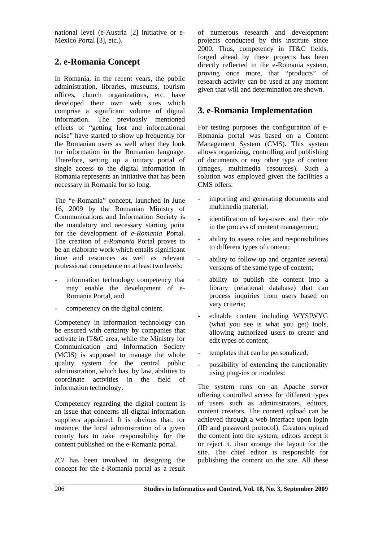national level (e-Austria [2] initiative or e-Mexico Portal [3], etc.).

## **2. e-Romania Concept**

In Romania, in the recent years, the public administration, libraries, museums, tourism offices, church organizations, etc. have developed their own web sites which comprise a significant volume of digital information. The previously mentioned effects of "getting lost and informational noise" have started to show up frequently for the Romanian users as well when they look for information in the Romanian language. Therefore, setting up a unitary portal of single access to the digital information in Romania represents an initiative that has been necessary in Romania for so long.

The "e-Romania" concept, launched in June 16, 2009 by the Romanian Ministry of Communications and Information Society is the mandatory and necessary starting point for the development of *e-Romania* Portal. The creation of *e-Romania* Portal proves to be an elaborate work which entails significant time and resources as well as relevant professional competence on at least two levels:

- information technology competency that may enable the development of e-Romania Portal, and
- competency on the digital content.

Competency in information technology can be ensured with certainty by companies that activate in IT&C area, while the Ministry for Communication and Information Society (MCIS) is supposed to manage the whole quality system for the central public administration, which has, by law, abilities to coordinate activities in the field of information technology.

Competency regarding the digital content is an issue that concerns all digital information suppliers appointed. It is obvious that, for instance, the local administration of a given county has to take responsibility for the content published on the e-Romania portal.

*ICI* has been involved in designing the concept for the e-Romania portal as a result

of numerous research and development projects conducted by this institute since 2000. Thus, competency in IT&C fields, forged ahead by these projects has been directly reflected in the e-Romania system, proving once more, that "products" of research activity can be used at any moment given that will and determination are shown.

### **3. e-Romania Implementation**

For testing purposes the configuration of e-Romania portal was based on a Content Management System (CMS). This system allows organizing, controlling and publishing of documents or any other type of content (images, multimedia resources). Such a solution was employed given the facilities a CMS offers:

- importing and generating documents and multimedia material;
- identification of key-users and their role in the process of content management;
- ability to assess roles and responsibilities to different types of content;
- ability to follow up and organize several versions of the same type of content;
- ability to publish the content into a library (relational database) that can process inquiries from users based on vary criteria;
- editable content including WYSIWYG (what you see is what you get) tools, allowing authorized users to create and edit types of content;
- templates that can be personalized;
- possibility of extending the functionality using plug-ins or modules;

The system runs on an Apache server offering controlled access for different types of users such as administrators, editors, content creators. The content upload can be achieved through a web interface upon login (ID and password protocol). Creators upload the content into the system; editors accept it or reject it, than arrange the layout for the site. The chief editor is responsible for publishing the content on the site. All these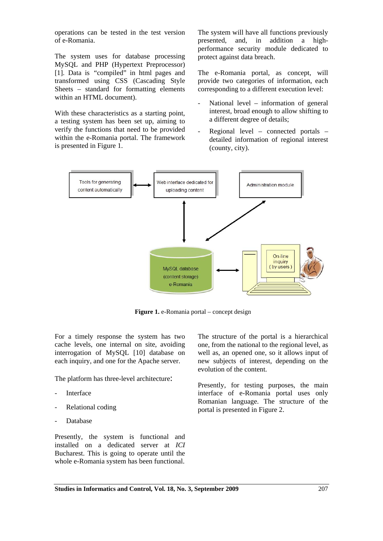operations can be tested in the test version of e-Romania.

The system uses for database processing MySQL and PHP (Hypertext Preprocessor) [1]. Data is "compiled" in html pages and transformed using CSS (Cascading Style Sheets – standard for formatting elements within an HTML document).

With these characteristics as a starting point, a testing system has been set up, aiming to verify the functions that need to be provided within the e-Romania portal. The framework is presented in Figure 1.

The system will have all functions previously presented, and, in addition a highperformance security module dedicated to protect against data breach.

The e-Romania portal, as concept, will provide two categories of information, each corresponding to a different execution level:

- National level information of general interest, broad enough to allow shifting to a different degree of details;
- Regional level connected portals detailed information of regional interest (county, city).



**Figure 1.** e-Romania portal – concept design

For a timely response the system has two cache levels, one internal on site, avoiding interrogation of MySQL [10] database on each inquiry, and one for the Apache server.

The platform has three-level architecture:

- **Interface**
- Relational coding
- **Database**

Presently, the system is functional and installed on a dedicated server at *ICI* Bucharest. This is going to operate until the whole e-Romania system has been functional.

The structure of the portal is a hierarchical one, from the national to the regional level, as well as, an opened one, so it allows input of new subjects of interest, depending on the evolution of the content.

Presently, for testing purposes, the main interface of e-Romania portal uses only Romanian language. The structure of the portal is presented in Figure 2.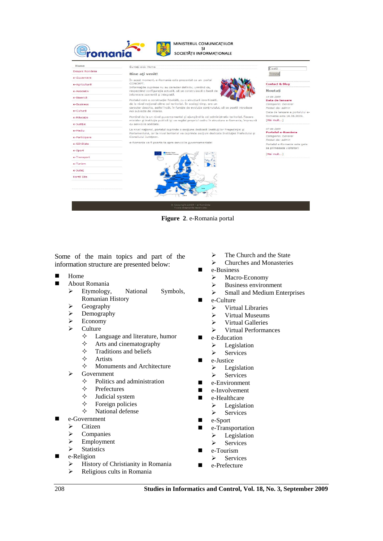

**Figure 2**. e-Romania portal

Some of the main topics and part of the information structure are presented below:

- Home
- **About Romania** 
	- ¾ Etymology, National Symbols, Romanian History
	- $\triangleright$  Geography
	- $\triangleright$  Demography
	- $\triangleright$  Economy
	- **Culture** 
		- Language and literature, humor
		- $\diamond$  Arts and cinematography
		- $\Diamond$  Traditions and beliefs
		- $\Leftrightarrow$  Artists
		- $\Diamond$  Monuments and Architecture
	- $\triangleright$  Government
		- $\diamond$  Politics and administration
		- $\Diamond$  Prefectures
		- $\diamond$  Judicial system
		- $\Diamond$  Foreign policies
		- $\Diamond$  National defense
- e-Government
	- $\triangleright$  Citizen
	- $\triangleright$  Companies
	- $\triangleright$  Employment
	- $\triangleright$  Statistics
- e-Religion
	- $\triangleright$  History of Christianity in Romania
	- $\triangleright$  Religious cults in Romania
- $\triangleright$  The Church and the State
- $\triangleright$  Churches and Monasteries
- e-Business
	- ¾ Macro-Economy
	- $\triangleright$  Business environment
	- $\triangleright$  Small and Medium Enterprises
- e-Culture
	- $\triangleright$  Virtual Libraries
	- $\triangleright$  Virtual Museums
	- $\triangleright$  Virtual Galleries
	- $\triangleright$  Virtual Performances
- **E** e-Education
	- $\triangleright$  Legislation
	- $\triangleright$  Services
- e-Justice
	- $\triangleright$  Legislation
	- $\triangleright$  Services
- e-Environment
- e-Involvement
- e-Healthcare
	- $\triangleright$  Legislation
	- $\triangleright$  Services
- $\blacksquare$  e-Sport
- **E** e-Transportation  $\blacktriangleright$  Legislation
	- $\triangleright$  Services
- e-Tourism
- $\triangleright$  Services
- e-Prefecture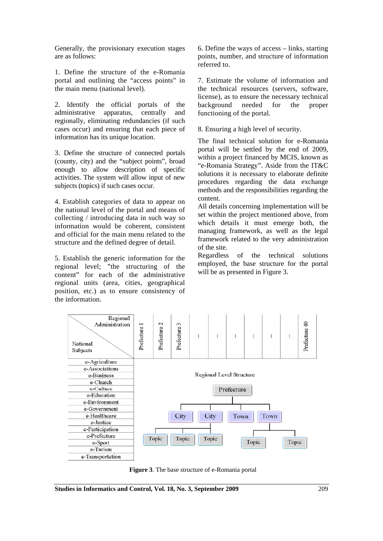Generally, the provisionary execution stages are as follows:

1. Define the structure of the e-Romania portal and outlining the "access points" in the main menu (national level).

2. Identify the official portals of the administrative apparatus, centrally and regionally, eliminating redundancies (if such cases occur) and ensuring that each piece of information has its unique location.

3. Define the structure of connected portals (county, city) and the "subject points", broad enough to allow description of specific activities. The system will allow input of new subjects (topics) if such cases occur.

4. Establish categories of data to appear on the national level of the portal and means of collecting / introducing data in such way so information would be coherent, consistent and official for the main menu related to the structure and the defined degree of detail.

5. Establish the generic information for the regional level; "the structuring of the content" for each of the administrative regional units (area, cities, geographical position, etc.) as to ensure consistency of the information.

6. Define the ways of access – links, starting points, number, and structure of information referred to.

7. Estimate the volume of information and the technical resources (servers, software, license), as to ensure the necessary technical background needed for the proper functioning of the portal.

8. Ensuring a high level of security.

The final technical solution for e-Romania portal will be settled by the end of 2009, within a project financed by MCIS, known as "e-Romania Strategy". Aside from the IT&C solutions it is necessary to elaborate definite procedures regarding the data exchange methods and the responsibilities regarding the content.

All details concerning implementation will be set within the project mentioned above, from which details it must emerge both, the managing framework, as well as the legal framework related to the very administration of the site.

Regardless of the technical solutions employed, the base structure for the portal will be as presented in Figure 3.



**Figure 3**. The base structure of e-Romania portal

**Studies in Informatics and Control, Vol. 18, No. 3, September 2009** 209